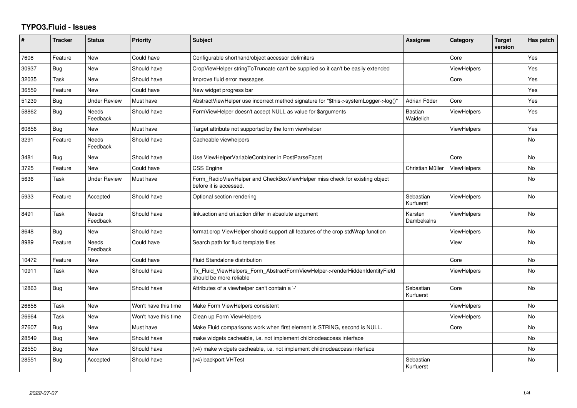## **TYPO3.Fluid - Issues**

| #     | <b>Tracker</b> | <b>Status</b>            | <b>Priority</b>      | Subject                                                                                                | Assignee                    | Category           | <b>Target</b><br>version | Has patch |
|-------|----------------|--------------------------|----------------------|--------------------------------------------------------------------------------------------------------|-----------------------------|--------------------|--------------------------|-----------|
| 7608  | Feature        | <b>New</b>               | Could have           | Configurable shorthand/object accessor delimiters                                                      |                             | Core               |                          | Yes       |
| 30937 | Bug            | New                      | Should have          | CropViewHelper stringToTruncate can't be supplied so it can't be easily extended                       |                             | <b>ViewHelpers</b> |                          | Yes       |
| 32035 | Task           | <b>New</b>               | Should have          | Improve fluid error messages                                                                           |                             | Core               |                          | Yes       |
| 36559 | Feature        | New                      | Could have           | New widget progress bar                                                                                |                             |                    |                          | Yes       |
| 51239 | Bug            | <b>Under Review</b>      | Must have            | AbstractViewHelper use incorrect method signature for "\$this->systemLogger->log()"                    | Adrian Föder                | Core               |                          | Yes       |
| 58862 | <b>Bug</b>     | <b>Needs</b><br>Feedback | Should have          | FormViewHelper doesn't accept NULL as value for \$arguments                                            | <b>Bastian</b><br>Waidelich | <b>ViewHelpers</b> |                          | Yes       |
| 60856 | Bug            | New                      | Must have            | Target attribute not supported by the form viewhelper                                                  |                             | <b>ViewHelpers</b> |                          | Yes       |
| 3291  | Feature        | Needs<br>Feedback        | Should have          | Cacheable viewhelpers                                                                                  |                             |                    |                          | No        |
| 3481  | Bug            | New                      | Should have          | Use ViewHelperVariableContainer in PostParseFacet                                                      |                             | Core               |                          | No        |
| 3725  | Feature        | <b>New</b>               | Could have           | CSS Engine                                                                                             | Christian Müller            | ViewHelpers        |                          | No        |
| 5636  | Task           | <b>Under Review</b>      | Must have            | Form_RadioViewHelper and CheckBoxViewHelper miss check for existing object<br>before it is accessed.   |                             |                    |                          | No        |
| 5933  | Feature        | Accepted                 | Should have          | Optional section rendering                                                                             | Sebastian<br>Kurfuerst      | <b>ViewHelpers</b> |                          | No        |
| 8491  | Task           | Needs<br>Feedback        | Should have          | link.action and uri.action differ in absolute argument                                                 | Karsten<br>Dambekalns       | ViewHelpers        |                          | No        |
| 8648  | Bug            | <b>New</b>               | Should have          | format.crop ViewHelper should support all features of the crop stdWrap function                        |                             | <b>ViewHelpers</b> |                          | No        |
| 8989  | Feature        | Needs<br>Feedback        | Could have           | Search path for fluid template files                                                                   |                             | View               |                          | No        |
| 10472 | Feature        | New                      | Could have           | Fluid Standalone distribution                                                                          |                             | Core               |                          | No        |
| 10911 | Task           | New                      | Should have          | Tx_Fluid_ViewHelpers_Form_AbstractFormViewHelper->renderHiddenIdentityField<br>should be more reliable |                             | <b>ViewHelpers</b> |                          | No        |
| 12863 | <b>Bug</b>     | <b>New</b>               | Should have          | Attributes of a viewhelper can't contain a '-'                                                         | Sebastian<br>Kurfuerst      | Core               |                          | No        |
| 26658 | Task           | New                      | Won't have this time | Make Form ViewHelpers consistent                                                                       |                             | <b>ViewHelpers</b> |                          | No        |
| 26664 | Task           | New                      | Won't have this time | Clean up Form ViewHelpers                                                                              |                             | <b>ViewHelpers</b> |                          | No        |
| 27607 | Bug            | New                      | Must have            | Make Fluid comparisons work when first element is STRING, second is NULL.                              |                             | Core               |                          | No        |
| 28549 | <b>Bug</b>     | New                      | Should have          | make widgets cacheable, i.e. not implement childnodeaccess interface                                   |                             |                    |                          | <b>No</b> |
| 28550 | Bug            | <b>New</b>               | Should have          | (v4) make widgets cacheable, i.e. not implement childnodeaccess interface                              |                             |                    |                          | <b>No</b> |
| 28551 | Bug            | Accepted                 | Should have          | (v4) backport VHTest                                                                                   | Sebastian<br>Kurfuerst      |                    |                          | No.       |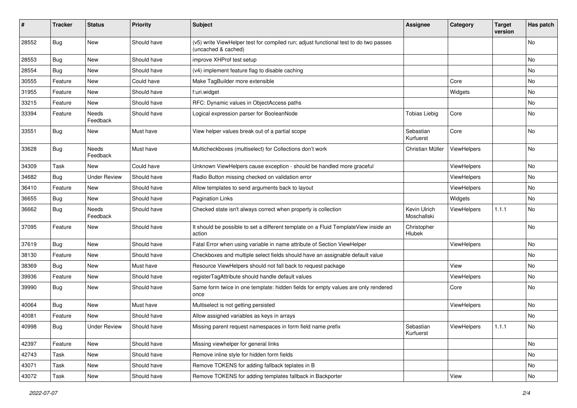| #     | <b>Tracker</b> | <b>Status</b>       | <b>Priority</b> | <b>Subject</b>                                                                                              | <b>Assignee</b>              | Category    | <b>Target</b><br>version | Has patch |
|-------|----------------|---------------------|-----------------|-------------------------------------------------------------------------------------------------------------|------------------------------|-------------|--------------------------|-----------|
| 28552 | Bug            | New                 | Should have     | (v5) write ViewHelper test for compiled run; adjust functional test to do two passes<br>(uncached & cached) |                              |             |                          | No        |
| 28553 | Bug            | New                 | Should have     | improve XHProf test setup                                                                                   |                              |             |                          | No        |
| 28554 | Bug            | New                 | Should have     | (v4) implement feature flag to disable caching                                                              |                              |             |                          | No        |
| 30555 | Feature        | New                 | Could have      | Make TagBuilder more extensible                                                                             |                              | Core        |                          | No        |
| 31955 | Feature        | New                 | Should have     | f:uri.widget                                                                                                |                              | Widgets     |                          | No        |
| 33215 | Feature        | New                 | Should have     | RFC: Dynamic values in ObjectAccess paths                                                                   |                              |             |                          | No        |
| 33394 | Feature        | Needs<br>Feedback   | Should have     | Logical expression parser for BooleanNode                                                                   | <b>Tobias Liebig</b>         | Core        |                          | No        |
| 33551 | Bug            | New                 | Must have       | View helper values break out of a partial scope                                                             | Sebastian<br>Kurfuerst       | Core        |                          | No        |
| 33628 | Bug            | Needs<br>Feedback   | Must have       | Multicheckboxes (multiselect) for Collections don't work                                                    | Christian Müller             | ViewHelpers |                          | <b>No</b> |
| 34309 | Task           | New                 | Could have      | Unknown ViewHelpers cause exception - should be handled more graceful                                       |                              | ViewHelpers |                          | No        |
| 34682 | Bug            | <b>Under Review</b> | Should have     | Radio Button missing checked on validation error                                                            |                              | ViewHelpers |                          | No        |
| 36410 | Feature        | New                 | Should have     | Allow templates to send arguments back to layout                                                            |                              | ViewHelpers |                          | No        |
| 36655 | Bug            | New                 | Should have     | <b>Pagination Links</b>                                                                                     |                              | Widgets     |                          | No        |
| 36662 | Bug            | Needs<br>Feedback   | Should have     | Checked state isn't always correct when property is collection                                              | Kevin Ulrich<br>Moschallski  | ViewHelpers | 1.1.1                    | No        |
| 37095 | Feature        | New                 | Should have     | It should be possible to set a different template on a Fluid TemplateView inside an<br>action               | Christopher<br><b>Hlubek</b> |             |                          | No        |
| 37619 | Bug            | New                 | Should have     | Fatal Error when using variable in name attribute of Section ViewHelper                                     |                              | ViewHelpers |                          | No        |
| 38130 | Feature        | New                 | Should have     | Checkboxes and multiple select fields should have an assignable default value                               |                              |             |                          | No        |
| 38369 | Bug            | New                 | Must have       | Resource ViewHelpers should not fall back to request package                                                |                              | View        |                          | No        |
| 39936 | Feature        | New                 | Should have     | registerTagAttribute should handle default values                                                           |                              | ViewHelpers |                          | No        |
| 39990 | Bug            | New                 | Should have     | Same form twice in one template: hidden fields for empty values are only rendered<br>once                   |                              | Core        |                          | No        |
| 40064 | Bug            | New                 | Must have       | Multiselect is not getting persisted                                                                        |                              | ViewHelpers |                          | No        |
| 40081 | Feature        | New                 | Should have     | Allow assigned variables as keys in arrays                                                                  |                              |             |                          | No        |
| 40998 | Bug            | <b>Under Review</b> | Should have     | Missing parent request namespaces in form field name prefix                                                 | Sebastian<br>Kurfuerst       | ViewHelpers | 1.1.1                    | No        |
| 42397 | Feature        | New                 | Should have     | Missing viewhelper for general links                                                                        |                              |             |                          | No        |
| 42743 | Task           | New                 | Should have     | Remove inline style for hidden form fields                                                                  |                              |             |                          | No        |
| 43071 | Task           | New                 | Should have     | Remove TOKENS for adding fallback teplates in B                                                             |                              |             |                          | No        |
| 43072 | Task           | New                 | Should have     | Remove TOKENS for adding templates fallback in Backporter                                                   |                              | View        |                          | No        |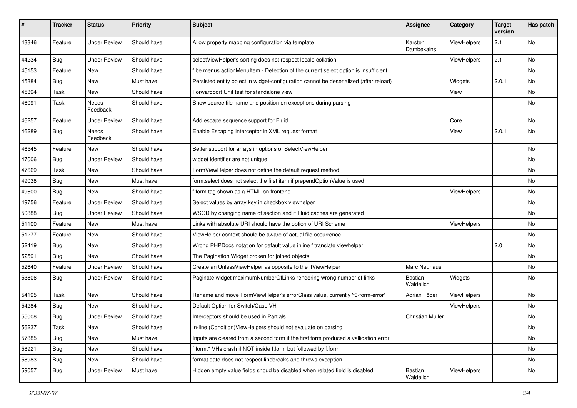| ∦     | <b>Tracker</b> | <b>Status</b>       | <b>Priority</b> | <b>Subject</b>                                                                        | <b>Assignee</b>       | Category    | <b>Target</b><br>version | Has patch |
|-------|----------------|---------------------|-----------------|---------------------------------------------------------------------------------------|-----------------------|-------------|--------------------------|-----------|
| 43346 | Feature        | <b>Under Review</b> | Should have     | Allow property mapping configuration via template                                     | Karsten<br>Dambekalns | ViewHelpers | 2.1                      | No        |
| 44234 | <b>Bug</b>     | <b>Under Review</b> | Should have     | selectViewHelper's sorting does not respect locale collation                          |                       | ViewHelpers | 2.1                      | No.       |
| 45153 | Feature        | New                 | Should have     | f:be.menus.actionMenuItem - Detection of the current select option is insufficient    |                       |             |                          | No        |
| 45384 | Bug            | New                 | Must have       | Persisted entity object in widget-configuration cannot be deserialized (after reload) |                       | Widgets     | 2.0.1                    | No        |
| 45394 | Task           | New                 | Should have     | Forwardport Unit test for standalone view                                             |                       | View        |                          | No        |
| 46091 | Task           | Needs<br>Feedback   | Should have     | Show source file name and position on exceptions during parsing                       |                       |             |                          | No        |
| 46257 | Feature        | <b>Under Review</b> | Should have     | Add escape sequence support for Fluid                                                 |                       | Core        |                          | No.       |
| 46289 | <b>Bug</b>     | Needs<br>Feedback   | Should have     | Enable Escaping Interceptor in XML request format                                     |                       | View        | 2.0.1                    | No        |
| 46545 | Feature        | New                 | Should have     | Better support for arrays in options of SelectViewHelper                              |                       |             |                          | No        |
| 47006 | Bug            | <b>Under Review</b> | Should have     | widget identifier are not unique                                                      |                       |             |                          | No        |
| 47669 | Task           | New                 | Should have     | FormViewHelper does not define the default request method                             |                       |             |                          | No        |
| 49038 | Bug            | New                 | Must have       | form.select does not select the first item if prependOptionValue is used              |                       |             |                          | No        |
| 49600 | Bug            | New                 | Should have     | f:form tag shown as a HTML on frontend                                                |                       | ViewHelpers |                          | No        |
| 49756 | Feature        | <b>Under Review</b> | Should have     | Select values by array key in checkbox viewhelper                                     |                       |             |                          | No        |
| 50888 | Bug            | <b>Under Review</b> | Should have     | WSOD by changing name of section and if Fluid caches are generated                    |                       |             |                          | No        |
| 51100 | Feature        | New                 | Must have       | Links with absolute URI should have the option of URI Scheme                          |                       | ViewHelpers |                          | No        |
| 51277 | Feature        | New                 | Should have     | ViewHelper context should be aware of actual file occurrence                          |                       |             |                          | No        |
| 52419 | <b>Bug</b>     | New                 | Should have     | Wrong PHPDocs notation for default value inline f:translate viewhelper                |                       |             | 2.0                      | No        |
| 52591 | <b>Bug</b>     | <b>New</b>          | Should have     | The Pagination Widget broken for joined objects                                       |                       |             |                          | No.       |
| 52640 | Feature        | <b>Under Review</b> | Should have     | Create an UnlessViewHelper as opposite to the IfViewHelper                            | Marc Neuhaus          |             |                          | No        |
| 53806 | <b>Bug</b>     | <b>Under Review</b> | Should have     | Paginate widget maximumNumberOfLinks rendering wrong number of links                  | Bastian<br>Waidelich  | Widgets     |                          | No        |
| 54195 | Task           | New                 | Should have     | Rename and move FormViewHelper's errorClass value, currently 'f3-form-error'          | Adrian Föder          | ViewHelpers |                          | No        |
| 54284 | Bug            | New                 | Should have     | Default Option for Switch/Case VH                                                     |                       | ViewHelpers |                          | No        |
| 55008 | Bug            | <b>Under Review</b> | Should have     | Interceptors should be used in Partials                                               | Christian Müller      |             |                          | No        |
| 56237 | Task           | New                 | Should have     | in-line (Condition) View Helpers should not evaluate on parsing                       |                       |             |                          | No.       |
| 57885 | <b>Bug</b>     | New                 | Must have       | Inputs are cleared from a second form if the first form produced a vallidation error  |                       |             |                          | No        |
| 58921 | <b>Bug</b>     | New                 | Should have     | f:form.* VHs crash if NOT inside f:form but followed by f:form                        |                       |             |                          | No        |
| 58983 | Bug            | New                 | Should have     | format.date does not respect linebreaks and throws exception                          |                       |             |                          | No        |
| 59057 | <b>Bug</b>     | <b>Under Review</b> | Must have       | Hidden empty value fields shoud be disabled when related field is disabled            | Bastian<br>Waidelich  | ViewHelpers |                          | No        |